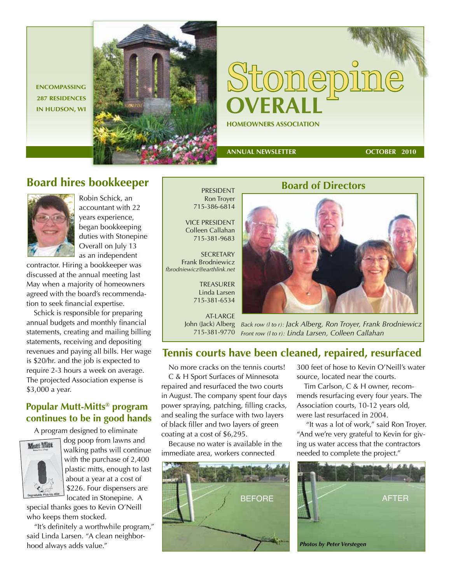**ENCOMPASSING 287 RESIDENCES** 



# **HOMEOWNERS ASSOCIATION** Stonepine

 **ANNUAL NEWSLETTER** 

**OCTOBER 2010**

### **Board hires bookkeeper**



Robin Schick, an accountant with 22 years experience, began bookkeeping duties with Stonepine Overall on July 13 as an independent

contractor. Hiring a bookkeeper was discussed at the annual meeting last May when a majority of homeowners agreed with the board's recommendation to seek financial expertise.

Schick is responsible for preparing annual budgets and monthly financial statements, creating and mailing billing statements, receiving and depositing revenues and paying all bills. Her wage is \$20/hr. and the job is expected to require 2-3 hours a week on average. The projected Association expense is \$3,000 a year.

#### **Popular Mutt-Mitts® program continues to be in good hands**

A program designed to eliminate



dog poop from lawns and walking paths will continue with the purchase of 2,400 plastic mitts, enough to last about a year at a cost of \$226. Four dispensers are located in Stonepine. A

special thanks goes to Kevin O'Neill who keeps them stocked.

"It's definitely a worthwhile program," said Linda Larsen. "A clean neighborhood always adds value."

Ron Troyer 715-386-6814

VICE PRESIDENT Colleen Callahan 715-381-9683

**SECRETARY** Frank Brodniewicz *fbrodniewicz@earthlink.net*

> TREASURER Linda Larsen 715-381-6534

AT-LARGE John (Jack) Alberg 715-381-9770

**Board of Directors** 

*Back row (l to r): Jack Alberg, Ron Troyer, Frank Brodniewicz Front row (l to r): Linda Larsen, Colleen Callahan*

#### **Tennis courts have been cleaned, repaired, resurfaced**

No more cracks on the tennis courts! C & H Sport Surfaces of Minnesota repaired and resurfaced the two courts in August. The company spent four days power spraying, patching, filling cracks, and sealing the surface with two layers of black filler and two layers of green coating at a cost of \$6,295.

Because no water is available in the immediate area, workers connected



300 feet of hose to Kevin O'Neill's water source, located near the courts.

Tim Carlson, C & H owner, recommends resurfacing every four years. The Association courts, 10-12 years old, were last resurfaced in 2004.

 "It was a lot of work," said Ron Troyer. "And we're very grateful to Kevin for giving us water access that the contractors needed to complete the project."